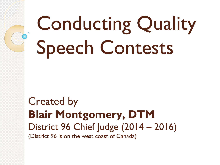# Conducting Quality Speech Contests

Created by **Blair Montgomery, DTM** District 96 Chief Judge (2014 - 2016) (District 96 is on the west coast of Canada)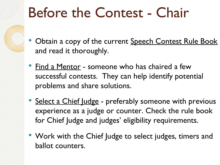## Before the Contest - Chair

- Obtain a copy of the current Speech Contest Rule Book and read it thoroughly.
- **Find a Mentor someone who has chaired a few** successful contests. They can help identify potential problems and share solutions.
- Select a Chief Judge preferably someone with previous experience as a judge or counter. Check the rule book for Chief Judge and judges' eligibility requirements.
- Work with the Chief Judge to select judges, timers and ballot counters.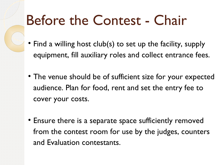## Before the Contest - Chair

- Find a willing host club(s) to set up the facility, supply equipment, fill auxiliary roles and collect entrance fees.
- The venue should be of sufficient size for your expected audience. Plan for food, rent and set the entry fee to cover your costs.
- Ensure there is a separate space sufficiently removed from the contest room for use by the judges, counters and Evaluation contestants.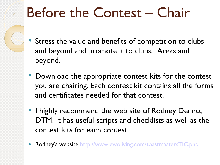## Before the Contest – Chair

- Stress the value and benefits of competition to clubs and beyond and promote it to clubs, Areas and beyond.
- Download the appropriate contest kits for the contest you are chairing. Each contest kit contains all the forms and certificates needed for that contest.
- I highly recommend the web site of Rodney Denno, DTM. It has useful scripts and checklists as well as the contest kits for each contest.
- Rodney's website <http://www.ewoliving.com/toastmastersTIC.php>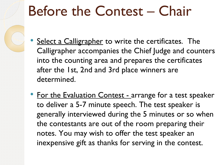# Before the Contest – Chair

- Select a Calligrapher to write the certificates. The Calligrapher accompanies the Chief Judge and counters into the counting area and prepares the certificates after the 1st, 2nd and 3rd place winners are determined.
- For the Evaluation Contest arrange for a test speaker to deliver a 5-7 minute speech. The test speaker is generally interviewed during the 5 minutes or so when the contestants are out of the room preparing their notes. You may wish to offer the test speaker an inexpensive gift as thanks for serving in the contest.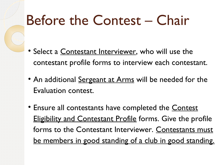## Before the Contest – Chair

- Select a Contestant Interviewer, who will use the contestant profile forms to interview each contestant.
- An additional Sergeant at Arms will be needed for the Evaluation contest.
- Ensure all contestants have completed the **Contest Eligibility and Contestant Profile forms. Give the profile** forms to the Contestant Interviewer. Contestants must be members in good standing of a club in good standing.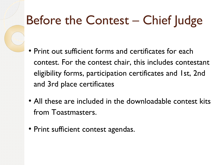#### Before the Contest – Chief Judge

- Print out sufficient forms and certificates for each contest. For the contest chair, this includes contestant eligibility forms, participation certificates and 1st, 2nd and 3rd place certificates
- All these are included in the downloadable contest kits from Toastmasters.
- Print sufficient contest agendas.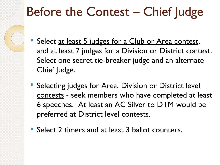#### Before the Contest - Chief Judge

- Select at least 5 judges for a Club or Area contest, and at least 7 judges for a Division or District contest. Select one secret tie-breaker judge and an alternate Chief Judge.
- Selecting judges for Area, Division or District level contests - seek members who have completed at least 6 speeches. At least an AC Silver to DTM would be preferred at District level contests.
- Select 2 timers and at least 3 ballot counters.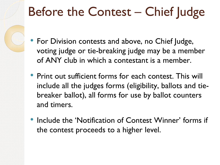#### Before the Contest – Chief Judge

- For Division contests and above, no Chief Judge, voting judge or tie-breaking judge may be a member of ANY club in which a contestant is a member.
- Print out sufficient forms for each contest. This will include all the judges forms (eligibility, ballots and tiebreaker ballot), all forms for use by ballot counters and timers.
- Include the 'Notification of Contest Winner' forms if the contest proceeds to a higher level.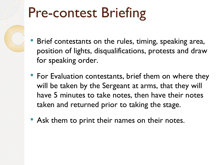# Pre-contest Briefing

- Brief contestants on the rules, timing, speaking area, position of lights, disqualifications, protests and draw for speaking order.
- For Evaluation contestants, brief them on where they will be taken by the Sergeant at arms, that they will have 5 minutes to take notes, then have their notes taken and returned prior to taking the stage.
- Ask them to print their names on their notes.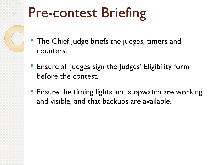# Pre-contest Briefing

- The Chief Judge briefs the judges, timers and counters.
- Ensure all judges sign the Judges' Eligibility form before the contest.
- Ensure the timing lights and stopwatch are working and visible, and that backups are available.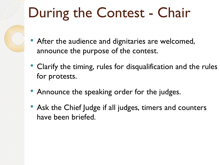# During the Contest - Chair

- After the audience and dignitaries are welcomed, announce the purpose of the contest.
- Clarify the timing, rules for disqualification and the rules for protests.
- Announce the speaking order for the judges.
- Ask the Chief Judge if all judges, timers and counters have been briefed.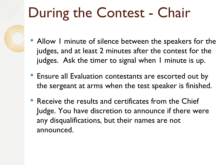# During the Contest - Chair

- Allow 1 minute of silence between the speakers for the judges, and at least 2 minutes after the contest for the judges. Ask the timer to signal when 1 minute is up.
- Ensure all Evaluation contestants are escorted out by the sergeant at arms when the test speaker is finished.
- Receive the results and certificates from the Chief Judge. You have discretion to announce if there were any disqualifications, but their names are not announced.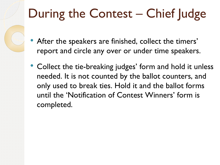## During the Contest – Chief Judge

- After the speakers are finished, collect the timers' report and circle any over or under time speakers.
- Collect the tie-breaking judges' form and hold it unless needed. It is not counted by the ballot counters, and only used to break ties. Hold it and the ballot forms until the 'Notification of Contest Winners' form is completed.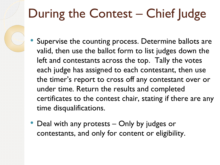## During the Contest – Chief Judge

- Supervise the counting process. Determine ballots are valid, then use the ballot form to list judges down the left and contestants across the top. Tally the votes each judge has assigned to each contestant, then use the timer's report to cross off any contestant over or under time. Return the results and completed certificates to the contest chair, stating if there are any time disqualifications.
- Deal with any protests Only by judges or contestants, and only for content or eligibility.